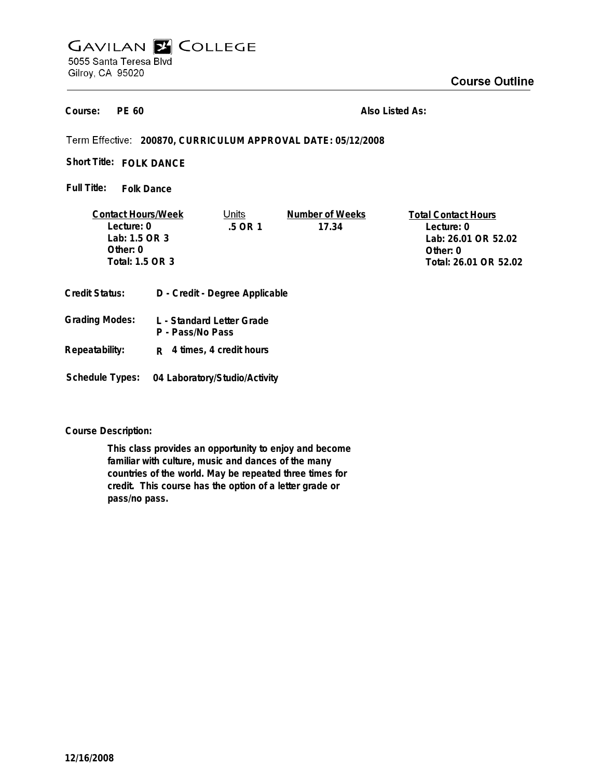# **GAVILAN E COLLEGE** 5055 Santa Teresa Blvd Gilroy, CA 95020

**PE 60 Course:**

**Also Listed As:**

**200870, CURRICULUM APPROVAL DATE: 05/12/2008**

Short Title: FOLK DANCE

**Folk Dance Full Title:**

| <b>Contact Hours/Week</b> |  | Units                          | Number of Weeks | <b>Total Contact Hours</b> |
|---------------------------|--|--------------------------------|-----------------|----------------------------|
| Lecture: 0                |  | 5 OR 1                         | 17.34           | Lecture: 0                 |
| Lab: 1.5 OR 3             |  |                                |                 | Lab: 26.01 OR 52.02        |
| Other: $0$                |  |                                |                 | Other: $0$                 |
| Total: 1.5 OR 3           |  |                                |                 | Total: 26.01 OR 52.02      |
|                           |  |                                |                 |                            |
| <b>Credit Status:</b>     |  | D - Credit - Degree Applicable |                 |                            |

| Grading Modes: | L - Standard Letter Grade<br>P - Pass/No Pass |
|----------------|-----------------------------------------------|
| Repeatability: | $R$ 4 times, 4 credit hours                   |

**Schedule Types: 04 Laboratory/Studio/Activity**

**Course Description:**

**This class provides an opportunity to enjoy and become familiar with culture, music and dances of the many countries of the world. May be repeated three times for credit. This course has the option of a letter grade or pass/no pass.**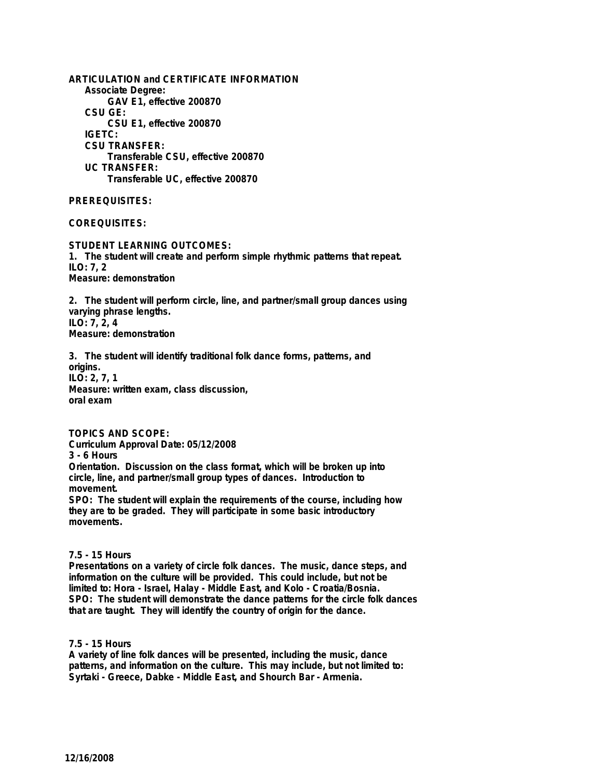**ARTICULATION and CERTIFICATE INFORMATION Associate Degree: GAV E1, effective 200870 CSU GE: CSU E1, effective 200870 IGETC: CSU TRANSFER: Transferable CSU, effective 200870 UC TRANSFER: Transferable UC, effective 200870**

## **PREREQUISITES:**

## **COREQUISITES:**

**STUDENT LEARNING OUTCOMES: 1. The student will create and perform simple rhythmic patterns that repeat. ILO: 7, 2 Measure: demonstration**

**2. The student will perform circle, line, and partner/small group dances using varying phrase lengths. ILO: 7, 2, 4 Measure: demonstration**

**3. The student will identify traditional folk dance forms, patterns, and origins. ILO: 2, 7, 1 Measure: written exam, class discussion, oral exam**

**TOPICS AND SCOPE: Curriculum Approval Date: 05/12/2008 3 - 6 Hours Orientation. Discussion on the class format, which will be broken up into circle, line, and partner/small group types of dances. Introduction to movement.**

**SPO: The student will explain the requirements of the course, including how they are to be graded. They will participate in some basic introductory movements.**

## **7.5 - 15 Hours**

**Presentations on a variety of circle folk dances. The music, dance steps, and information on the culture will be provided. This could include, but not be limited to: Hora - Israel, Halay - Middle East, and Kolo - Croatia/Bosnia. SPO: The student will demonstrate the dance patterns for the circle folk dances that are taught. They will identify the country of origin for the dance.**

**7.5 - 15 Hours**

**A variety of line folk dances will be presented, including the music, dance patterns, and information on the culture. This may include, but not limited to: Syrtaki - Greece, Dabke - Middle East, and Shourch Bar - Armenia.**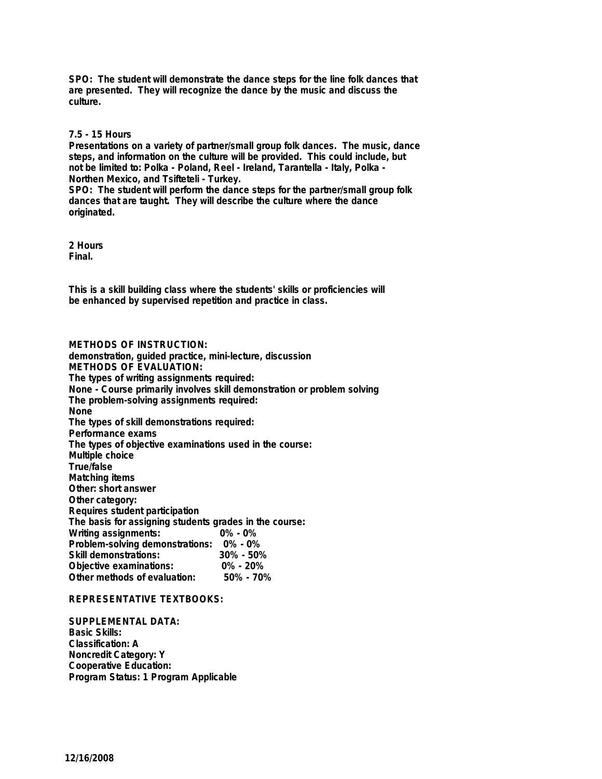**SPO: The student will demonstrate the dance steps for the line folk dances that are presented. They will recognize the dance by the music and discuss the culture.**

### **7.5 - 15 Hours**

**Presentations on a variety of partner/small group folk dances. The music, dance steps, and information on the culture will be provided. This could include, but not be limited to: Polka - Poland, Reel - Ireland, Tarantella - Italy, Polka - Northen Mexico, and Tsifteteli - Turkey.**

**SPO: The student will perform the dance steps for the partner/small group folk dances that are taught. They will describe the culture where the dance originated.**

**2 Hours Final.**

**This is a skill building class where the students' skills or proficiencies will be enhanced by supervised repetition and practice in class.**

**METHODS OF INSTRUCTION: demonstration, guided practice, mini-lecture, discussion METHODS OF EVALUATION: The types of writing assignments required: None - Course primarily involves skill demonstration or problem solving The problem-solving assignments required: None The types of skill demonstrations required: Performance exams The types of objective examinations used in the course: Multiple choice True/false Matching items Other: short answer Other category: Requires student participation The basis for assigning students grades in the course: Writing assignments: Problem-solving demonstrations: 0% - 0% Skill demonstrations: Objective examinations: 0% - 20% Other methods of evaluation:** 

#### **REPRESENTATIVE TEXTBOOKS:**

**SUPPLEMENTAL DATA: Basic Skills: Classification: A Noncredit Category: Y Cooperative Education: Program Status: 1 Program Applicable**